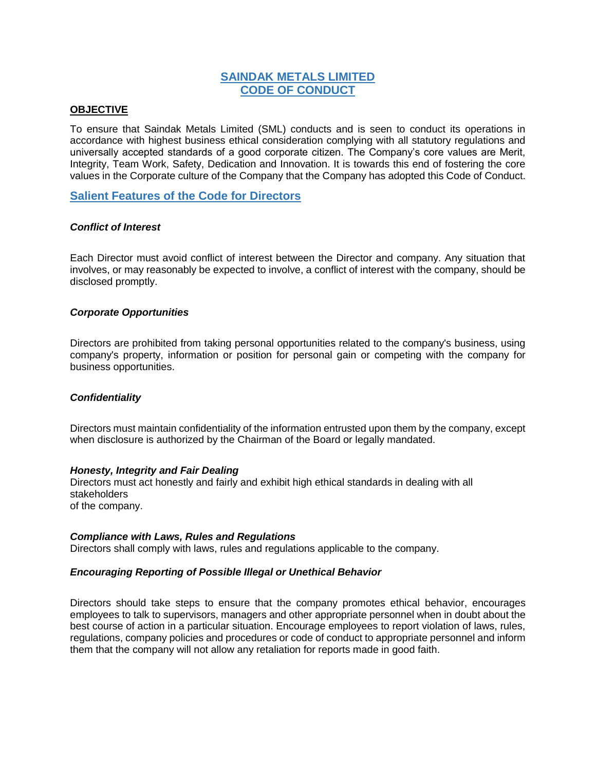# **SAINDAK METALS LIMITED CODE OF CONDUCT**

# **OBJECTIVE**

To ensure that Saindak Metals Limited (SML) conducts and is seen to conduct its operations in accordance with highest business ethical consideration complying with all statutory regulations and universally accepted standards of a good corporate citizen. The Company's core values are Merit, Integrity, Team Work, Safety, Dedication and Innovation. It is towards this end of fostering the core values in the Corporate culture of the Company that the Company has adopted this Code of Conduct.

# **Salient Features of the Code for Directors**

# *Conflict of Interest*

Each Director must avoid conflict of interest between the Director and company. Any situation that involves, or may reasonably be expected to involve, a conflict of interest with the company, should be disclosed promptly.

# *Corporate Opportunities*

Directors are prohibited from taking personal opportunities related to the company's business, using company's property, information or position for personal gain or competing with the company for business opportunities.

### *Confidentiality*

Directors must maintain confidentiality of the information entrusted upon them by the company, except when disclosure is authorized by the Chairman of the Board or legally mandated.

### *Honesty, Integrity and Fair Dealing*

Directors must act honestly and fairly and exhibit high ethical standards in dealing with all stakeholders of the company.

### *Compliance with Laws, Rules and Regulations*

Directors shall comply with laws, rules and regulations applicable to the company.

# *Encouraging Reporting of Possible Illegal or Unethical Behavior*

Directors should take steps to ensure that the company promotes ethical behavior, encourages employees to talk to supervisors, managers and other appropriate personnel when in doubt about the best course of action in a particular situation. Encourage employees to report violation of laws, rules, regulations, company policies and procedures or code of conduct to appropriate personnel and inform them that the company will not allow any retaliation for reports made in good faith.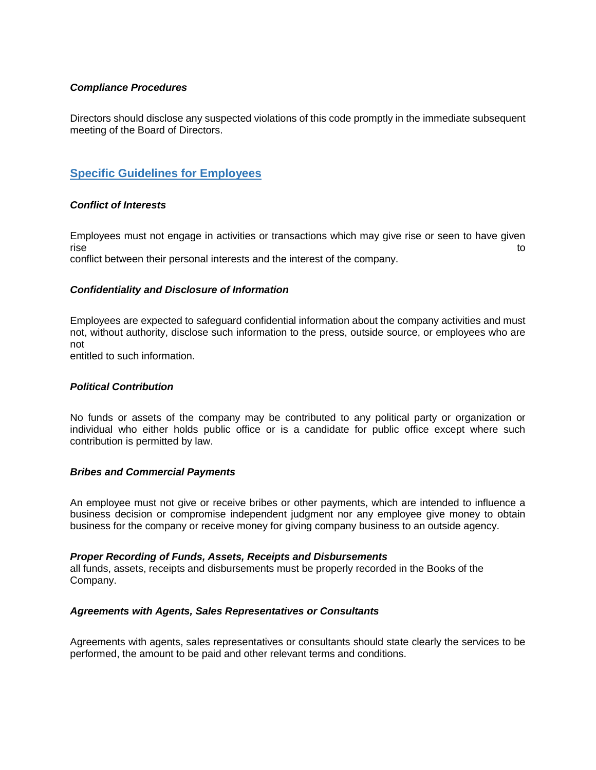# *Compliance Procedures*

Directors should disclose any suspected violations of this code promptly in the immediate subsequent meeting of the Board of Directors.

# **Specific Guidelines for Employees**

# *Conflict of Interests*

Employees must not engage in activities or transactions which may give rise or seen to have given rise to the contract of the contract of the contract of the contract of the contract of the contract of the contract of the contract of the contract of the contract of the contract of the contract of the contract of the co conflict between their personal interests and the interest of the company.

# *Confidentiality and Disclosure of Information*

Employees are expected to safeguard confidential information about the company activities and must not, without authority, disclose such information to the press, outside source, or employees who are not

entitled to such information.

### *Political Contribution*

No funds or assets of the company may be contributed to any political party or organization or individual who either holds public office or is a candidate for public office except where such contribution is permitted by law.

### *Bribes and Commercial Payments*

An employee must not give or receive bribes or other payments, which are intended to influence a business decision or compromise independent judgment nor any employee give money to obtain business for the company or receive money for giving company business to an outside agency.

### *Proper Recording of Funds, Assets, Receipts and Disbursements*

all funds, assets, receipts and disbursements must be properly recorded in the Books of the Company.

### *Agreements with Agents, Sales Representatives or Consultants*

Agreements with agents, sales representatives or consultants should state clearly the services to be performed, the amount to be paid and other relevant terms and conditions.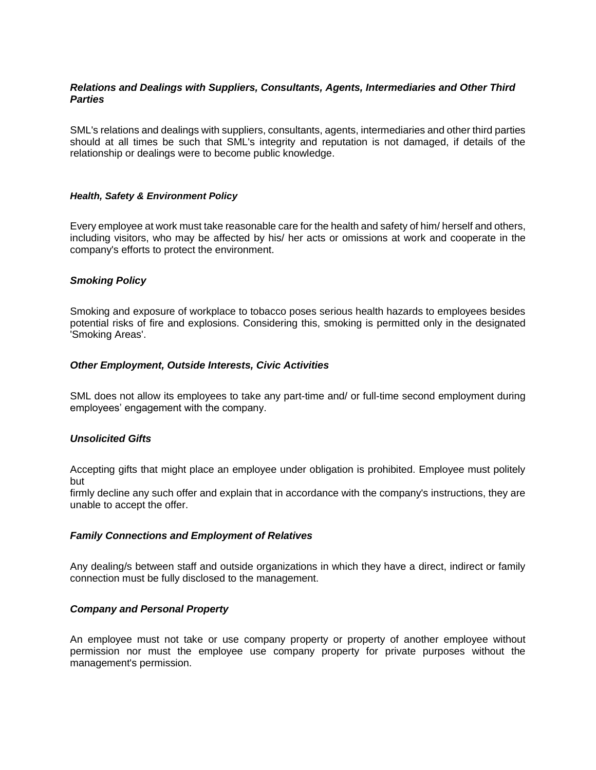# *Relations and Dealings with Suppliers, Consultants, Agents, Intermediaries and Other Third Parties*

SML's relations and dealings with suppliers, consultants, agents, intermediaries and other third parties should at all times be such that SML's integrity and reputation is not damaged, if details of the relationship or dealings were to become public knowledge.

# *Health, Safety & Environment Policy*

Every employee at work must take reasonable care for the health and safety of him/ herself and others, including visitors, who may be affected by his/ her acts or omissions at work and cooperate in the company's efforts to protect the environment.

# *Smoking Policy*

Smoking and exposure of workplace to tobacco poses serious health hazards to employees besides potential risks of fire and explosions. Considering this, smoking is permitted only in the designated 'Smoking Areas'.

# *Other Employment, Outside Interests, Civic Activities*

SML does not allow its employees to take any part-time and/ or full-time second employment during employees' engagement with the company.

### *Unsolicited Gifts*

Accepting gifts that might place an employee under obligation is prohibited. Employee must politely but

firmly decline any such offer and explain that in accordance with the company's instructions, they are unable to accept the offer.

### *Family Connections and Employment of Relatives*

Any dealing/s between staff and outside organizations in which they have a direct, indirect or family connection must be fully disclosed to the management.

# *Company and Personal Property*

An employee must not take or use company property or property of another employee without permission nor must the employee use company property for private purposes without the management's permission.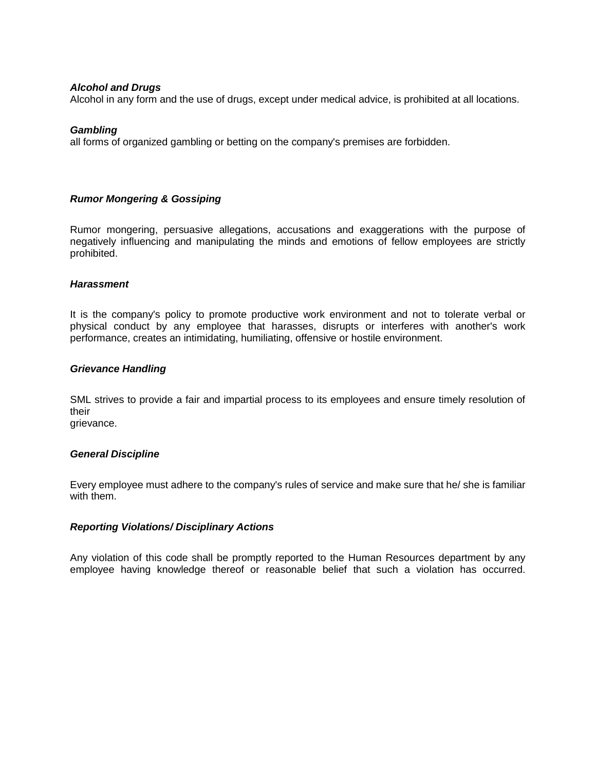# *Alcohol and Drugs*

Alcohol in any form and the use of drugs, except under medical advice, is prohibited at all locations.

### *Gambling*

all forms of organized gambling or betting on the company's premises are forbidden.

# *Rumor Mongering & Gossiping*

Rumor mongering, persuasive allegations, accusations and exaggerations with the purpose of negatively influencing and manipulating the minds and emotions of fellow employees are strictly prohibited.

### *Harassment*

It is the company's policy to promote productive work environment and not to tolerate verbal or physical conduct by any employee that harasses, disrupts or interferes with another's work performance, creates an intimidating, humiliating, offensive or hostile environment.

# *Grievance Handling*

SML strives to provide a fair and impartial process to its employees and ensure timely resolution of their

grievance.

### *General Discipline*

Every employee must adhere to the company's rules of service and make sure that he/ she is familiar with them.

# *Reporting Violations/ Disciplinary Actions*

Any violation of this code shall be promptly reported to the Human Resources department by any employee having knowledge thereof or reasonable belief that such a violation has occurred.